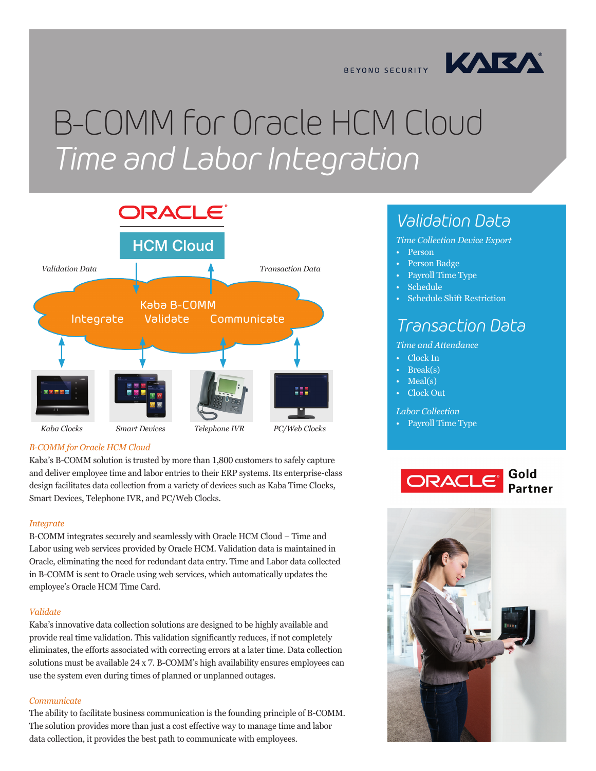

BEYOND SECURITY

# B-COMM for Oracle HCM Cloud *Time and Labor Integration*



#### *B-COMM for Oracle HCM Cloud*

Kaba's B-COMM solution is trusted by more than 1,800 customers to safely capture and deliver employee time and labor entries to their ERP systems. Its enterprise-class design facilitates data collection from a variety of devices such as Kaba Time Clocks, Smart Devices, Telephone IVR, and PC/Web Clocks.

#### *Integrate*

B-COMM integrates securely and seamlessly with Oracle HCM Cloud – Time and Labor using web services provided by Oracle HCM. Validation data is maintained in Oracle, eliminating the need for redundant data entry. Time and Labor data collected in B-COMM is sent to Oracle using web services, which automatically updates the employee's Oracle HCM Time Card.

#### *Validate*

Kaba's innovative data collection solutions are designed to be highly available and provide real time validation. This validation significantly reduces, if not completely eliminates, the efforts associated with correcting errors at a later time. Data collection solutions must be available 24 x 7. B-COMM's high availability ensures employees can use the system even during times of planned or unplanned outages.

#### *Communicate*

The ability to facilitate business communication is the founding principle of B-COMM. The solution provides more than just a cost effective way to manage time and labor data collection, it provides the best path to communicate with employees.

### *Validation Data*

- *Time Collection Device Export*
- Person
- Person Badge
- Payroll Time Type
- Schedule
- Schedule Shift Restriction

### *Transaction Data*

#### *Time and Attendance*

- Clock In
- Break(s)
- Meal(s)
- Clock Out

#### *Labor Collection*

• Payroll Time Type